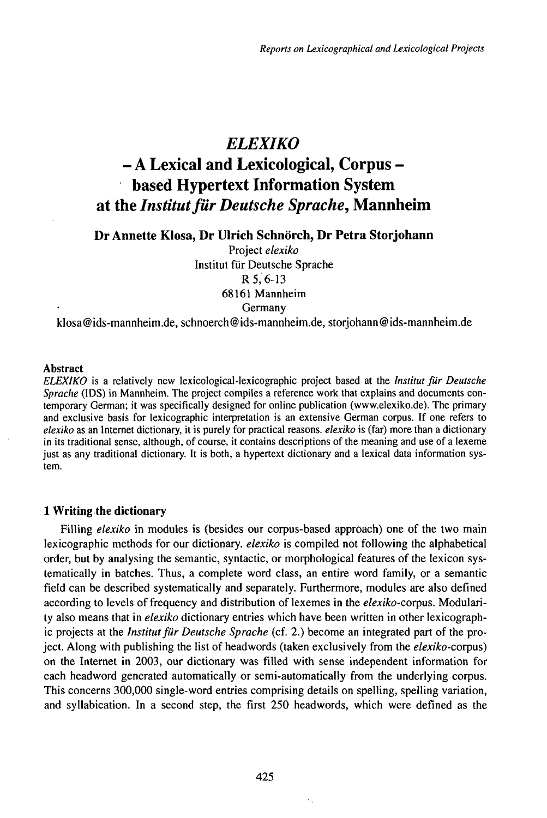# *ELEXIKO*

# *-* <sup>A</sup> Lexical and Lexicological, Corpus based Hypertext Information System at the *Institutfür Deutsche Sprache,* Mannheim

Dr Annette Klosa, Dr Ulrich Schnörch, Dr Petra Storjohann

Project *elexiko* Institut für Deutsche Sprache R5,6-13 68161 Mannheim Germany

klosa@ids-mannheim.de,schnoerch@ids-mannheim.de, storjohann@ids-mannheim.de

#### Abstract

*ELEXIKO* is a relatively new lexicological-lexicographic project based at the *Institut für Deutsche Sprache* (IDS) in Mannheim. The project compiles a reference work that explains and documents contemporary German; it was specifically designed for online publication (www.elexiko.de). The primary and exclusive basis for lexicographic interpretation is an extensive German corpus. If one refers to *elexiko* as an Internet dictionary, it is purely for practical reasons, *elexiko* is (far) more than a dictionary in its traditional sense, although, of course, it contains descriptions of the meaning and use of a lexeme just as any traditional dictionary. It is both, a hypertext dictionary and a lexical data information system.

## **1** Writing the dictionary

Filling *elexiko* in modules is (besides our corpus-based approach) one of the two main lexicographic methods for our dictionary, *elexiko* is compiled not following the alphabetical order, but by analysing the semantic, syntactic, or morphological features of the lexicon systematically in batches. Thus, a complete word class, an entire word family, or a semantic field can be described systematically and separately. Furthermore, modules are also defined according to levels of frequency and distribution of lexemes in the *elexiko-corpus*. Modularity also means that in *elexiko* dictionary entries which have been written in other lexicographic projects at the *Institut für Deutsche Sprache* (cf. 2.) become an integrated part of the project. Along with publishing the list of headwords (taken exclusively from the *elexiko-corpus*) on the Internet in 2003, our dictionary was filled with sense independent information for each headword generated automatically or semi-automatically from the underlying corpus. This concerns 300,000 single-word entries comprising details on spelling, spelling variation, and syllabication. In a second step, the first 250 headwords, which were defined as the

 $\ddot{\phantom{a}}$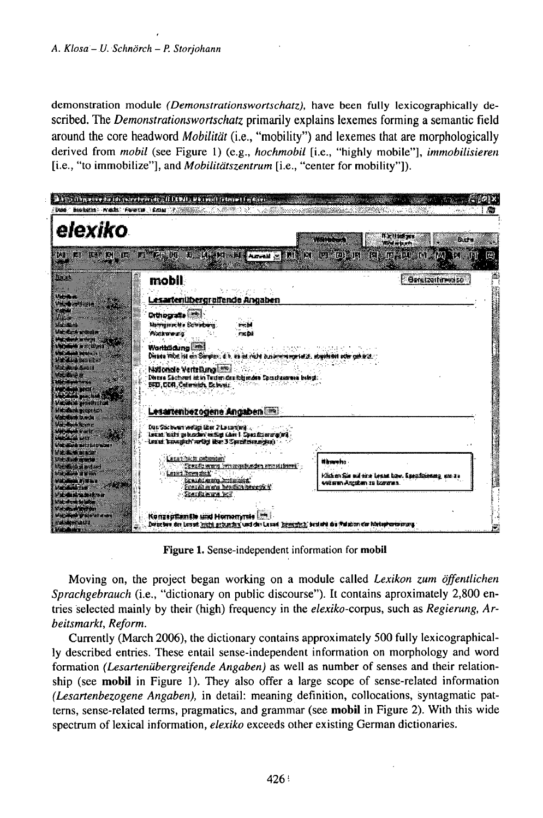demonstration module *(Demonstrationswortschatz)*, have been fully lexicographically described. The *Demonstrationswortschatz* primarily explains lexemes forming a semantic field around the core headword *Mobilität* (i.e., "mobility") and lexemes that are morphologically derived from *mobil* (see Figure 1) (e.g., *hochmobil* [i.e., "highly mobile"], *immobilisieren* [i.e., "to immobilize"], and *Mobilitätszentrum* [i.e., "center for mobility"]).



Figure 1. Sense-independent information for mobil

Moving on, the project began working on a module called Lexikon zum öffentlichen Sprachgebrauch (i.e., "dictionary on public discourse"). It contains aproximately 2,800 entries selected mainly by their (high) frequency in the *elexiko*-corpus, such as *Regierung*, *Ar*beitsmarkt, Reform.

Currently (March 2006), the dictionary contains approximately 500 fully lexicographically described entries. These entail sense-independent information on morphology and word formation (Lesartenübergreifende Angaben) as well as number of senses and their relationship (see mobil in Figure 1). They also offer a large scope of sense-related information (Lesartenbezogene Angaben), in detail: meaning definition, collocations, syntagmatic patterns, sense-related terms, pragmatics, and grammar (see mobil in Figure 2). With this wide spectrum of lexical information, *elexiko* exceeds other existing German dictionaries.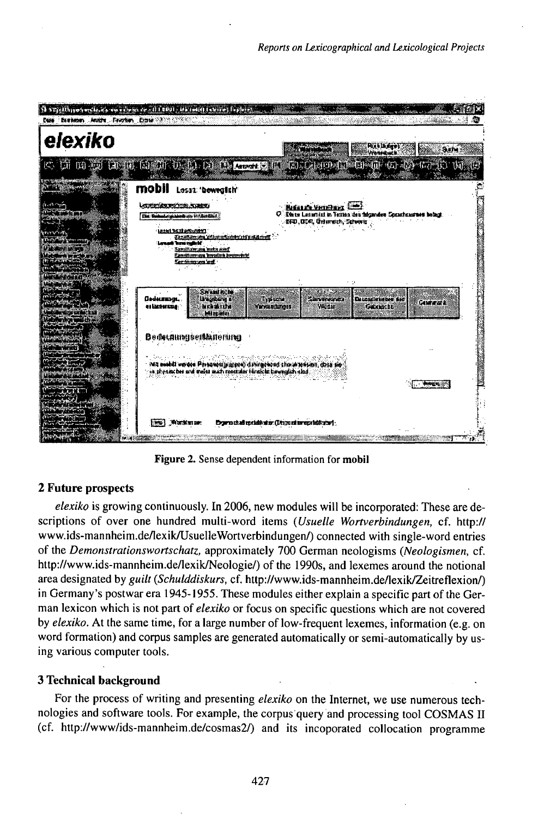

Figure 2. Sense dependent information for **mobil**

# **2 Future prospects**

*elexiko* is growing continuously. In 2006, new modules will be incorporated: These are descriptions of over one hundred multi-word items *(Usuelle Wortverbindungen,* cf. http:// www.ids-mannheim.de/lexik/UsuelleWortverbindungen/) connected with single-word entries of the *Demonstrationswortschatz,* approximately 700 German neologisms *(Neologismen,* cf. http://www.ids-mannheim.de/lexik/Neologie/) of the 1990s, and lexemes around the notional area designated by *guilt* (Schulddiskurs, cf. http://www.ids-mannheim.de/lexik/Zeitreflexion/) in Germany's postwar era 1945-1955. These modules either explain a specific part of the German lexicon which is not part of *elexiko* or focus on specific questions which are not covered by *elexiko.* At the same time, for a large number of low-frequent lexemes, information (e.g. on word formation) and corpus samples are generated automatically or semi-automatically by using various computer tools.

# **3 Technical background**

For the process of writing and presenting *elexiko* on the Internet, we use numerous technologies and software tools. For example, the corpus query and processing tool COSMAS II (cf. http://www/ids-mannheim.de/cosmas2/) and its incoporated collocation programme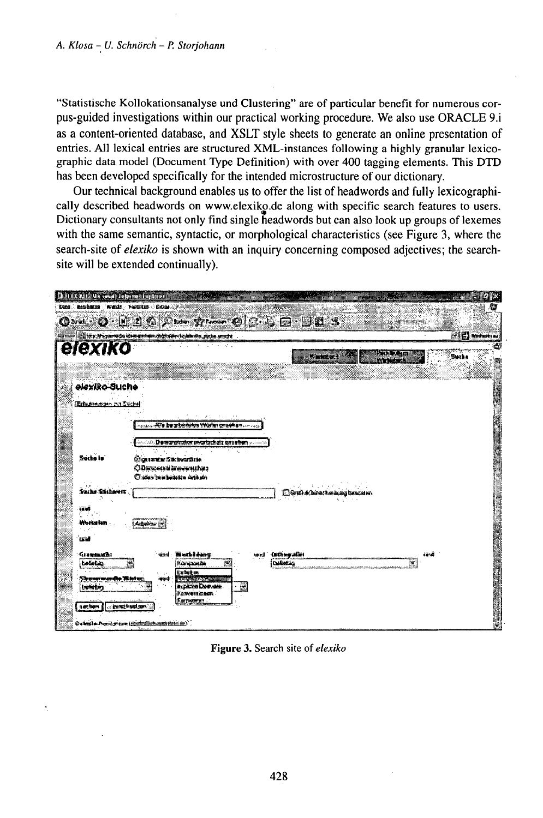"Statistische Kollokationsanalyse und Clustering" are of particular benefit for numerous corpus-guided investigations within our practical working procedure. We also use ORACLE 9.i as a content-oriented database, and XSLT style sheets to generate an online presentation of entries. All lexical entries are structured XML-instances following a highly granular lexicographic data model (Document Type Definition) with over 400 tagging elements. This DTD has been developed specifically for the intended microstructure of our dictionary.

Our technical background enables us to offer the list of headwords and fully lexicographically described headwords on www.elexiko.de along with specific search features to users. Dictionary consultants not only find single headwords but can also look up groups of lexemes with the same semantic, syntactic, or morphological characteristics (see Figure 3, where the search-site of *elexiko* is shown with an inquiry concerning composed adjectives; the searchsite will be extended continually).

| <b>Billicell</b> Usinal lettical lighting<br>Dies Biobacis Walls Fuertas Cons. P | en de la provincia de                                                                                                          |                                                             |                              |
|----------------------------------------------------------------------------------|--------------------------------------------------------------------------------------------------------------------------------|-------------------------------------------------------------|------------------------------|
|                                                                                  | Om O B20 pm film O C B B B23<br>dürmer (E) tire lörening fin stampertum obibisis to dabeita "eigha spiebe                      |                                                             | $-15$ shows as               |
| elexiko                                                                          |                                                                                                                                | en en s                                                     | Suite<br><b>Participants</b> |
| elexiko-Suche                                                                    |                                                                                                                                |                                                             |                              |
| (Enhancement IN State)                                                           |                                                                                                                                |                                                             |                              |
|                                                                                  | Demonstration swartschaft sintetien                                                                                            |                                                             |                              |
| <b>Tricks In</b>                                                                 | Olonianum Sachwartirie<br>Обиновски внижнития<br>O seine bem beissten auch ein                                                 |                                                             |                              |
| Sains Sainsert                                                                   |                                                                                                                                | a guidean Colo<br>主義<br><b>Next 4 have be acan beach in</b> |                              |
| and .<br>Werta ten<br>فتتا                                                       | amaccoola<br><b>Astroica</b> r i                                                                                               |                                                             |                              |
| <b>Gramman</b><br>taintas<br><b>Seconomete Anto</b><br>towith                    | <b>West Home</b><br>rassall∙<br>POINTING<br>traders and<br><b>DISPERSION ASSESSED</b><br>esd<br><b>BYDACTOR CANNAMIN</b><br>É. | und Grüngaller<br><b>Calintág</b>                           | لمنفذ                        |
| sections<br>persychooplesen                                                      | Enworther<br>Europen<br>Outside Power (or legislation and thinks)                                                              |                                                             |                              |

Figure 3. Search site of elexiko